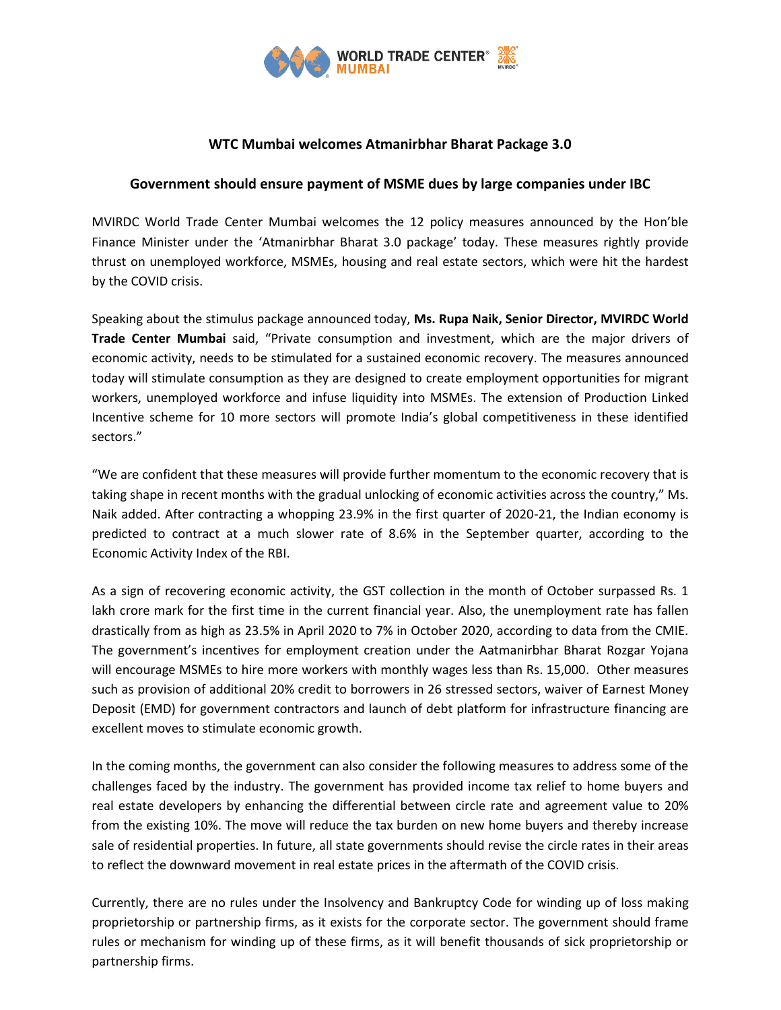

# **WTC Mumbai welcomes Atmanirbhar Bharat Package 3.0**

### **Government should ensure payment of MSME dues by large companies under IBC**

MVIRDC World Trade Center Mumbai welcomes the 12 policy measures announced by the Hon'ble Finance Minister under the 'Atmanirbhar Bharat 3.0 package' today. These measures rightly provide thrust on unemployed workforce, MSMEs, housing and real estate sectors, which were hit the hardest by the COVID crisis.

Speaking about the stimulus package announced today, **Ms. Rupa Naik, Senior Director, MVIRDC World Trade Center Mumbai** said, "Private consumption and investment, which are the major drivers of economic activity, needs to be stimulated for a sustained economic recovery. The measures announced today will stimulate consumption as they are designed to create employment opportunities for migrant workers, unemployed workforce and infuse liquidity into MSMEs. The extension of Production Linked Incentive scheme for 10 more sectors will promote India's global competitiveness in these identified sectors."

"We are confident that these measures will provide further momentum to the economic recovery that is taking shape in recent months with the gradual unlocking of economic activities across the country," Ms. Naik added. After contracting a whopping 23.9% in the first quarter of 2020-21, the Indian economy is predicted to contract at a much slower rate of 8.6% in the September quarter, according to the Economic Activity Index of the RBI.

As a sign of recovering economic activity, the GST collection in the month of October surpassed Rs. 1 lakh crore mark for the first time in the current financial year. Also, the unemployment rate has fallen drastically from as high as 23.5% in April 2020 to 7% in October 2020, according to data from the CMIE. The government's incentives for employment creation under the Aatmanirbhar Bharat Rozgar Yojana will encourage MSMEs to hire more workers with monthly wages less than Rs. 15,000. Other measures such as provision of additional 20% credit to borrowers in 26 stressed sectors, waiver of Earnest Money Deposit (EMD) for government contractors and launch of debt platform for infrastructure financing are excellent moves to stimulate economic growth.

In the coming months, the government can also consider the following measures to address some of the challenges faced by the industry. The government has provided income tax relief to home buyers and real estate developers by enhancing the differential between circle rate and agreement value to 20% from the existing 10%. The move will reduce the tax burden on new home buyers and thereby increase sale of residential properties. In future, all state governments should revise the circle rates in their areas to reflect the downward movement in real estate prices in the aftermath of the COVID crisis.

Currently, there are no rules under the Insolvency and Bankruptcy Code for winding up of loss making proprietorship or partnership firms, as it exists for the corporate sector. The government should frame rules or mechanism for winding up of these firms, as it will benefit thousands of sick proprietorship or partnership firms.